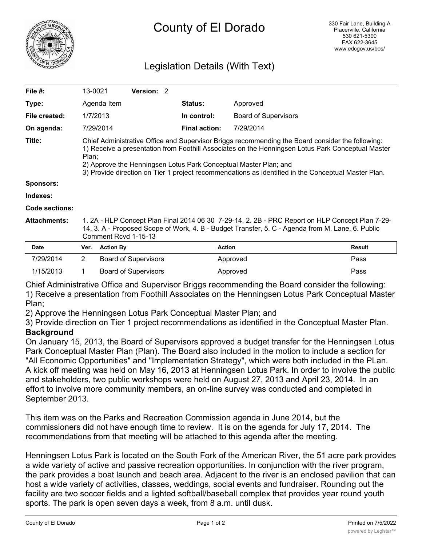

## County of El Dorado

## Legislation Details (With Text)

| File $#$ :          | 13-0021                                                                                                                                                                                                                                                                                                                                                                                   | <b>Version: 2</b> |                      |                             |  |
|---------------------|-------------------------------------------------------------------------------------------------------------------------------------------------------------------------------------------------------------------------------------------------------------------------------------------------------------------------------------------------------------------------------------------|-------------------|----------------------|-----------------------------|--|
| Type:               | Agenda Item                                                                                                                                                                                                                                                                                                                                                                               |                   | <b>Status:</b>       | Approved                    |  |
| File created:       | 1/7/2013                                                                                                                                                                                                                                                                                                                                                                                  |                   | In control:          | <b>Board of Supervisors</b> |  |
| On agenda:          | 7/29/2014                                                                                                                                                                                                                                                                                                                                                                                 |                   | <b>Final action:</b> | 7/29/2014                   |  |
| Title:              | Chief Administrative Office and Supervisor Briggs recommending the Board consider the following:<br>1) Receive a presentation from Foothill Associates on the Henningsen Lotus Park Conceptual Master<br>Plan;<br>2) Approve the Henningsen Lotus Park Conceptual Master Plan; and<br>3) Provide direction on Tier 1 project recommendations as identified in the Conceptual Master Plan. |                   |                      |                             |  |
| <b>Sponsors:</b>    |                                                                                                                                                                                                                                                                                                                                                                                           |                   |                      |                             |  |
| Indexes:            |                                                                                                                                                                                                                                                                                                                                                                                           |                   |                      |                             |  |
| Code sections:      |                                                                                                                                                                                                                                                                                                                                                                                           |                   |                      |                             |  |
| <b>Attachments:</b> | 1. 2A - HLP Concept Plan Final 2014 06 30 7-29-14, 2. 2B - PRC Report on HLP Concept Plan 7-29-<br>14, 3. A - Proposed Scope of Work, 4. B - Budget Transfer, 5. C - Agenda from M. Lane, 6. Public<br>Comment Rcvd 1-15-13                                                                                                                                                               |                   |                      |                             |  |

| <b>Date</b> | Ver. Action By       | <b>Action</b> | Result |
|-------------|----------------------|---------------|--------|
| 7/29/2014   | Board of Supervisors | Approved      | Pass   |
| 1/15/2013   | Board of Supervisors | Approved      | Pass   |

Chief Administrative Office and Supervisor Briggs recommending the Board consider the following: 1) Receive a presentation from Foothill Associates on the Henningsen Lotus Park Conceptual Master Plan;

2) Approve the Henningsen Lotus Park Conceptual Master Plan; and

3) Provide direction on Tier 1 project recommendations as identified in the Conceptual Master Plan. **Background**

On January 15, 2013, the Board of Supervisors approved a budget transfer for the Henningsen Lotus Park Conceptual Master Plan (Plan). The Board also included in the motion to include a section for "All Economic Opportunities" and "Implementation Strategy", which were both included in the PLan. A kick off meeting was held on May 16, 2013 at Henningsen Lotus Park. In order to involve the public and stakeholders, two public workshops were held on August 27, 2013 and April 23, 2014. In an effort to involve more community members, an on-line survey was conducted and completed in September 2013.

This item was on the Parks and Recreation Commission agenda in June 2014, but the commissioners did not have enough time to review. It is on the agenda for July 17, 2014. The recommendations from that meeting will be attached to this agenda after the meeting.

Henningsen Lotus Park is located on the South Fork of the American River, the 51 acre park provides a wide variety of active and passive recreation opportunities. In conjunction with the river program, the park provides a boat launch and beach area. Adjacent to the river is an enclosed pavilion that can host a wide variety of activities, classes, weddings, social events and fundraiser. Rounding out the facility are two soccer fields and a lighted softball/baseball complex that provides year round youth sports. The park is open seven days a week, from 8 a.m. until dusk.